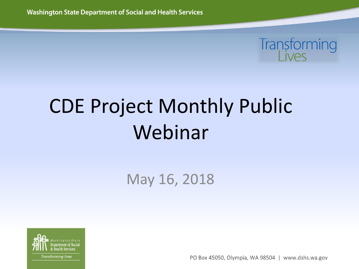

# CDE Project Monthly Public Webinar

May 16, 2018



PO Box 45050, Olympia, WA 98504 | www.dshs.wa.gov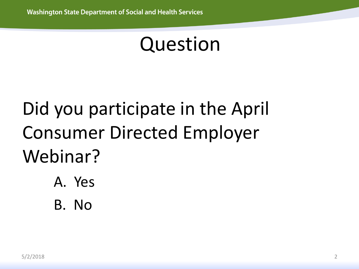### Question

# Did you participate in the April Consumer Directed Employer Webinar?

- A. Yes
- B. No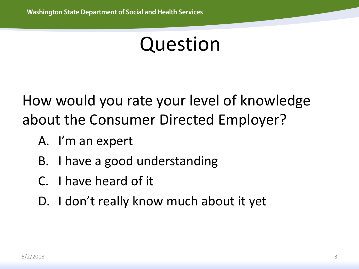### Question

How would you rate your level of knowledge about the Consumer Directed Employer?

- A. I'm an expert
- B. I have a good understanding
- C. I have heard of it
- D. I don't really know much about it yet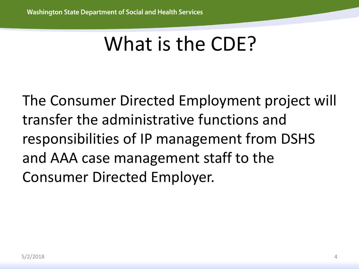# What is the CDE?

The Consumer Directed Employment project will transfer the administrative functions and responsibilities of IP management from DSHS and AAA case management staff to the Consumer Directed Employer.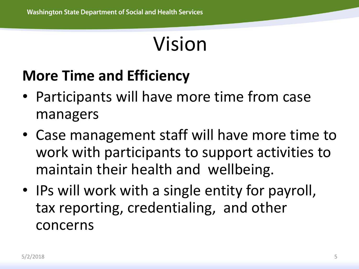# Vision

#### **More Time and Efficiency**

- Participants will have more time from case managers
- Case management staff will have more time to work with participants to support activities to maintain their health and wellbeing.
- IPs will work with a single entity for payroll, tax reporting, credentialing, and other concerns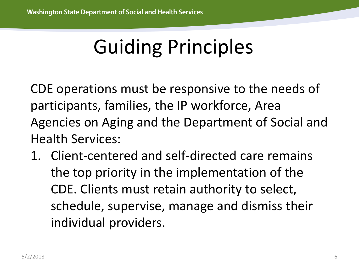CDE operations must be responsive to the needs of participants, families, the IP workforce, Area Agencies on Aging and the Department of Social and Health Services:

1. Client-centered and self-directed care remains the top priority in the implementation of the CDE. Clients must retain authority to select, schedule, supervise, manage and dismiss their individual providers.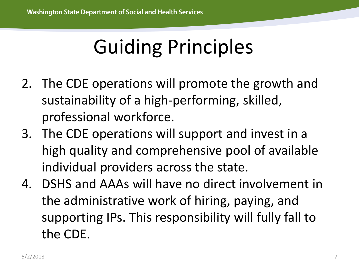- 2. The CDE operations will promote the growth and sustainability of a high-performing, skilled, professional workforce.
- 3. The CDE operations will support and invest in a high quality and comprehensive pool of available individual providers across the state.
- 4. DSHS and AAAs will have no direct involvement in the administrative work of hiring, paying, and supporting IPs. This responsibility will fully fall to the CDE.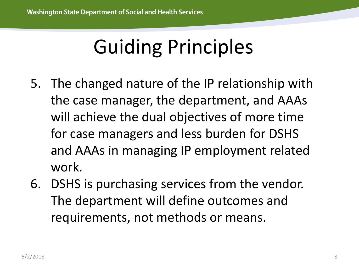- 5. The changed nature of the IP relationship with the case manager, the department, and AAAs will achieve the dual objectives of more time for case managers and less burden for DSHS and AAAs in managing IP employment related work.
- 6. DSHS is purchasing services from the vendor. The department will define outcomes and requirements, not methods or means.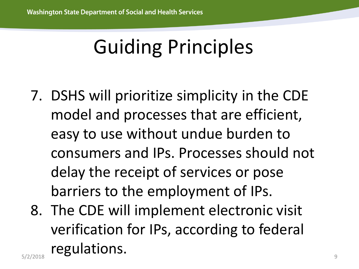- 7. DSHS will prioritize simplicity in the CDE model and processes that are efficient, easy to use without undue burden to consumers and IPs. Processes should not delay the receipt of services or pose barriers to the employment of IPs.
- $5/2/2018$  9 8. The CDE will implement electronic visit verification for IPs, according to federal regulations.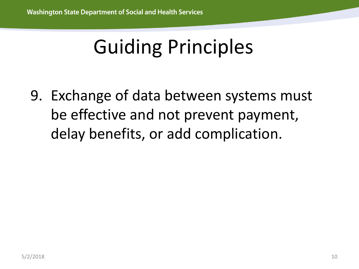9. Exchange of data between systems must be effective and not prevent payment, delay benefits, or add complication.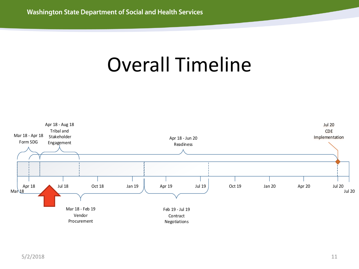### Overall Timeline

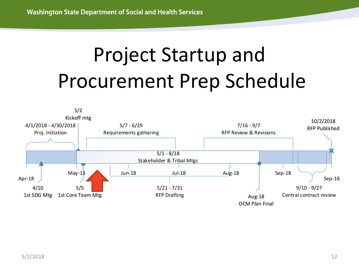# Project Startup and Procurement Prep Schedule

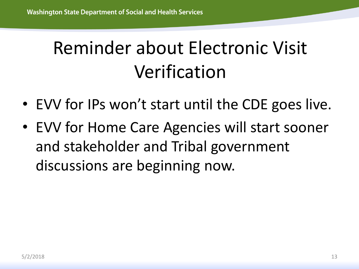### Reminder about Electronic Visit Verification

- EVV for IPs won't start until the CDE goes live.
- EVV for Home Care Agencies will start sooner and stakeholder and Tribal government discussions are beginning now.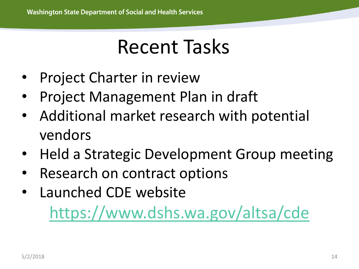### Recent Tasks

- **Project Charter in review**
- Project Management Plan in draft
- Additional market research with potential vendors
- Held a Strategic Development Group meeting
- Research on contract options
- Launched CDE website <https://www.dshs.wa.gov/altsa/cde>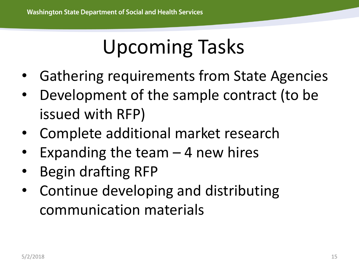# Upcoming Tasks

- Gathering requirements from State Agencies
- Development of the sample contract (to be issued with RFP)
- Complete additional market research
- Expanding the team  $-$  4 new hires
- Begin drafting RFP
- Continue developing and distributing communication materials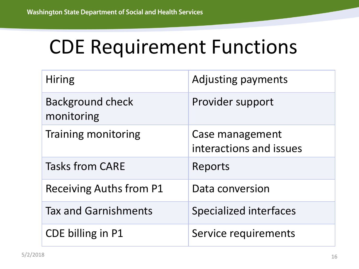# CDE Requirement Functions

| <b>Hiring</b>                         | <b>Adjusting payments</b>                  |
|---------------------------------------|--------------------------------------------|
| <b>Background check</b><br>monitoring | Provider support                           |
| <b>Training monitoring</b>            | Case management<br>interactions and issues |
| <b>Tasks from CARE</b>                | Reports                                    |
| <b>Receiving Auths from P1</b>        | Data conversion                            |
| <b>Tax and Garnishments</b>           | <b>Specialized interfaces</b>              |
| CDE billing in P1                     | Service requirements                       |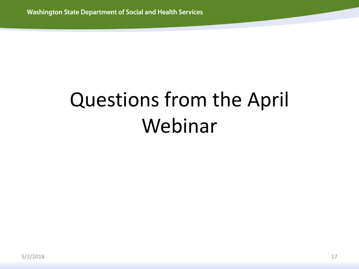# Questions from the April Webinar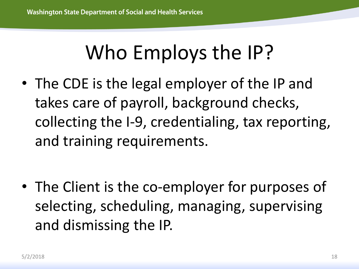# Who Employs the IP?

• The CDE is the legal employer of the IP and takes care of payroll, background checks, collecting the I-9, credentialing, tax reporting, and training requirements.

• The Client is the co-employer for purposes of selecting, scheduling, managing, supervising and dismissing the IP.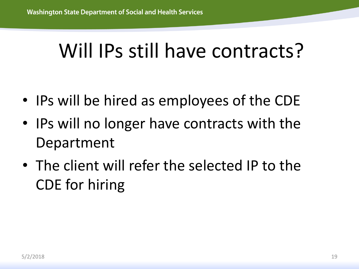### Will IPs still have contracts?

- IPs will be hired as employees of the CDE
- IPs will no longer have contracts with the Department
- The client will refer the selected IP to the CDE for hiring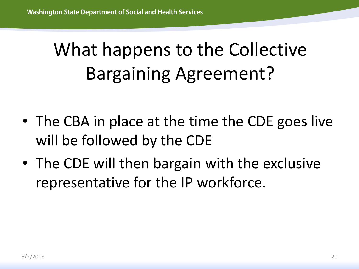# What happens to the Collective Bargaining Agreement?

- The CBA in place at the time the CDE goes live will be followed by the CDE
- The CDE will then bargain with the exclusive representative for the IP workforce.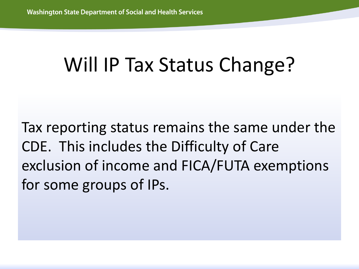## Will IP Tax Status Change?

Tax reporting status remains the same under the CDE. This includes the Difficulty of Care exclusion of income and FICA/FUTA exemptions for some groups of IPs.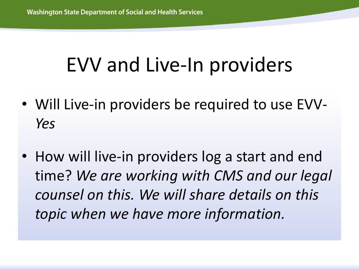# EVV and Live-In providers

- Will Live-in providers be required to use EVV-*Yes*
- How will live-in providers log a start and end time? *We are working with CMS and our legal counsel on this. We will share details on this topic when we have more information.*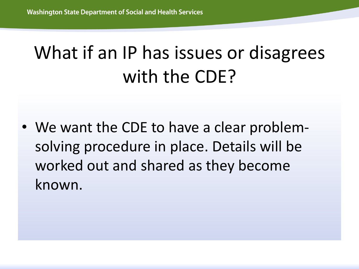### What if an IP has issues or disagrees with the CDE?

• We want the CDE to have a clear problemsolving procedure in place. Details will be worked out and shared as they become known.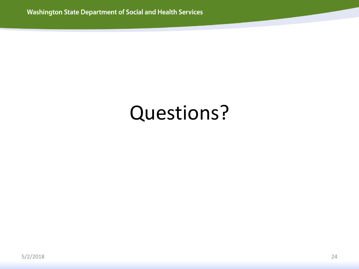### Questions?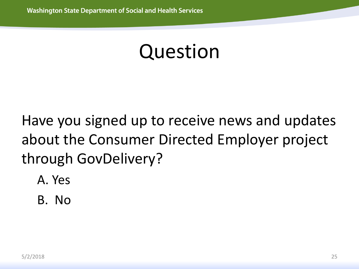### Question

Have you signed up to receive news and updates about the Consumer Directed Employer project through GovDelivery?

- A. Yes
- B. No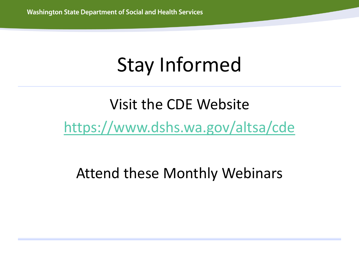# Stay Informed

#### Visit the CDE Website <https://www.dshs.wa.gov/altsa/cde>

#### Attend these Monthly Webinars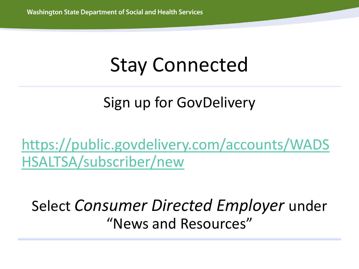# Stay Connected

#### Sign up for GovDelivery

[https://public.govdelivery.com/accounts/WADS](https://public.govdelivery.com/accounts/WADSHSALTSA/subscriber/new) HSALTSA/subscriber/new

Select *Consumer Directed Employer* under "News and Resources"